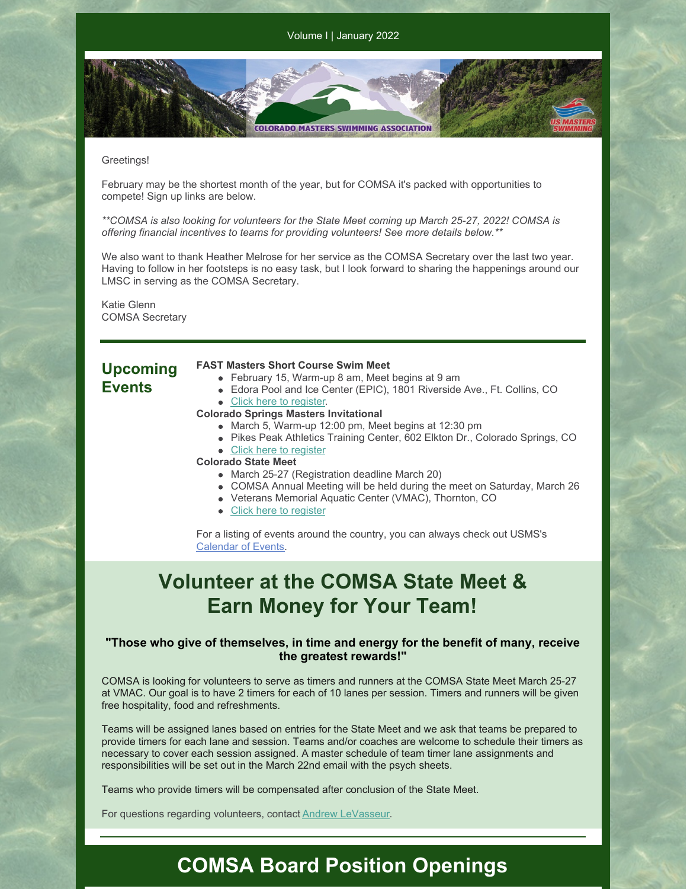**COLORADO MASTERS SWIMMING ASSOCIATION** 

### Greetings!

February may be the shortest month of the year, but for COMSA it's packed with opportunities to compete! Sign up links are below.

*\*\*COMSA is also looking for volunteers for the State Meet coming up March 25-27, 2022! COMSA is offering financial incentives to teams for providing volunteers! See more details below.\*\**

We also want to thank Heather Melrose for her service as the COMSA Secretary over the last two year. Having to follow in her footsteps is no easy task, but I look forward to sharing the happenings around our LMSC in serving as the COMSA Secretary.

Katie Glenn COMSA Secretary

### **Upcoming Events**

### **FAST Masters Short Course Swim Meet**

- February 15, Warm-up 8 am, Meet begins at 9 am
- Edora Pool and Ice Center (EPIC), 1801 Riverside Ave., Ft. Collins, CO • Click here to [register](https://www.clubassistant.com/club/meet_information.cfm?c=2574&smid=14336).
- **Colorado Springs Masters Invitational**
	- March 5, Warm-up 12:00 pm, Meet begins at 12:30 pm
	- Pikes Peak Athletics Training Center, 602 Elkton Dr., Colorado Springs, CO
	- Click here to [register](https://www.clubassistant.com/club/meet_information.cfm?c=2500&smid=14330&_ga=2.104179076.544869472.1643856588-163166262.1643856588)

### **Colorado State Meet**

- March 25-27 (Registration deadline March 20)
- COMSA Annual Meeting will be held during the meet on Saturday, March 26
- Veterans Memorial Aquatic Center (VMAC), Thornton, CO
- Click here to [register](https://www.clubassistant.com/club/meet_information.cfm?c=1279&smid=14352&_ga=2.101109125.544869472.1643856588-163166262.1643856588)

For a listing of events around the country, you can always check out USMS's [Calendar](https://www.usms.org/events) of Events.

## **Volunteer at the COMSA State Meet & Earn Money for Your Team!**

### **"Those who give of themselves, in time and energy for the benefit of many, receive the greatest rewards!"**

COMSA is looking for volunteers to serve as timers and runners at the COMSA State Meet March 25-27 at VMAC. Our goal is to have 2 timers for each of 10 lanes per session. Timers and runners will be given free hospitality, food and refreshments.

Teams will be assigned lanes based on entries for the State Meet and we ask that teams be prepared to provide timers for each lane and session. Teams and/or coaches are welcome to schedule their timers as necessary to cover each session assigned. A master schedule of team timer lane assignments and responsibilities will be set out in the March 22nd email with the psych sheets.

Teams who provide timers will be compensated after conclusion of the State Meet.

For questions regarding volunteers, contact Andrew [LeVasseur](mailto:swimmin4fun@msn.com).

### **COMSA Board Position Openings**